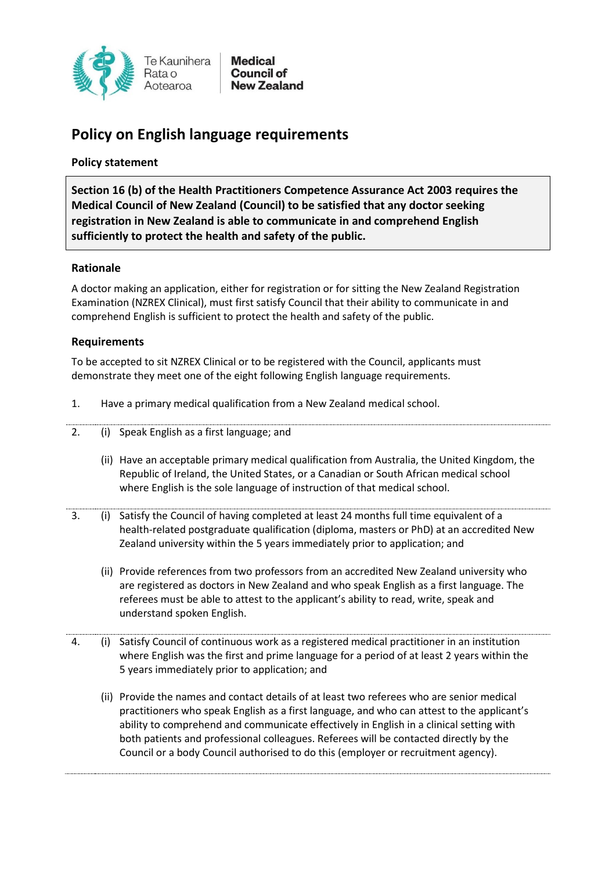

# **Policy on English language requirements**

## **Policy statement**

**Section 16 (b) of the Health Practitioners Competence Assurance Act 2003 requires the Medical Council of New Zealand (Council) to be satisfied that any doctor seeking registration in New Zealand is able to communicate in and comprehend English sufficiently to protect the health and safety of the public.**

## **Rationale**

A doctor making an application, either for registration or for sitting the New Zealand Registration Examination (NZREX Clinical), must first satisfy Council that their ability to communicate in and comprehend English is sufficient to protect the health and safety of the public.

## **Requirements**

To be accepted to sit NZREX Clinical or to be registered with the Council, applicants must demonstrate they meet one of the eight following English language requirements.

- 1. Have a primary medical qualification from a New Zealand medical school.
- 2. (i) Speak English as a first language; and
	- (ii) Have an acceptable primary medical qualification from Australia, the United Kingdom, the Republic of Ireland, the United States, or a Canadian or South African medical school where English is the sole language of instruction of that medical school.
- 3. (i) Satisfy the Council of having completed at least 24 months full time equivalent of a health-related postgraduate qualification (diploma, masters or PhD) at an accredited New Zealand university within the 5 years immediately prior to application; and
	- (ii) Provide references from two professors from an accredited New Zealand university who are registered as doctors in New Zealand and who speak English as a first language. The referees must be able to attest to the applicant's ability to read, write, speak and understand spoken English.
- 4. (i) Satisfy Council of continuous work as a registered medical practitioner in an institution where English was the first and prime language for a period of at least 2 years within the 5 years immediately prior to application; and
	- (ii) Provide the names and contact details of at least two referees who are senior medical practitioners who speak English as a first language, and who can attest to the applicant's ability to comprehend and communicate effectively in English in a clinical setting with both patients and professional colleagues. Referees will be contacted directly by the Council or a body Council authorised to do this (employer or recruitment agency).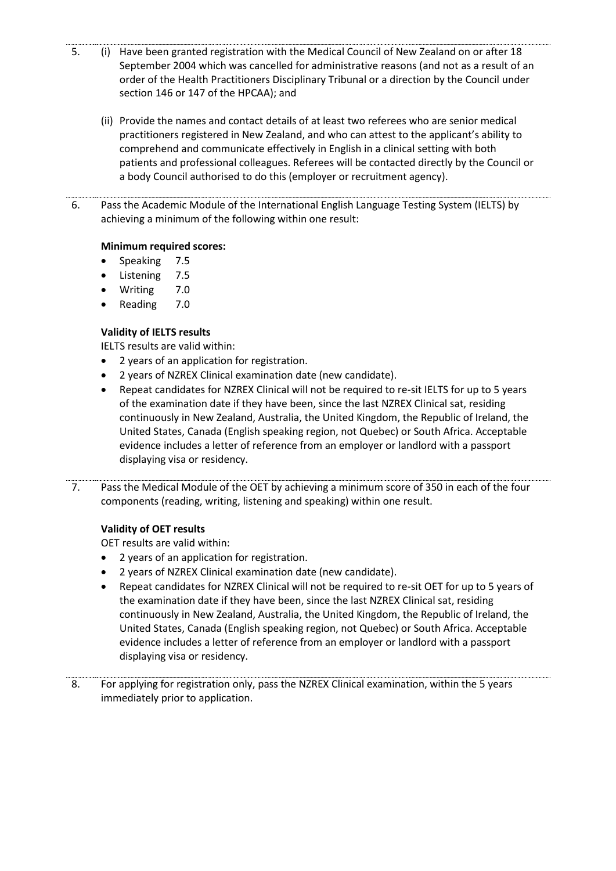- 5. (i) Have been granted registration with the Medical Council of New Zealand on or after 18 September 2004 which was cancelled for administrative reasons (and not as a result of an order of the Health Practitioners Disciplinary Tribunal or a direction by the Council under section 146 or 147 of the HPCAA); and
	- (ii) Provide the names and contact details of at least two referees who are senior medical practitioners registered in New Zealand, and who can attest to the applicant's ability to comprehend and communicate effectively in English in a clinical setting with both patients and professional colleagues. Referees will be contacted directly by the Council or a body Council authorised to do this (employer or recruitment agency).
- 6. Pass the Academic Module of the International English Language Testing System (IELTS) by achieving a minimum of the following within one result:

## **Minimum required scores:**

- Speaking 7.5
- Listening 7.5
- Writing 7.0
- Reading 7.0

# **Validity of IELTS results**

IELTS results are valid within:

- 2 years of an application for registration.
- 2 years of NZREX Clinical examination date (new candidate).
- Repeat candidates for NZREX Clinical will not be required to re-sit IELTS for up to 5 years of the examination date if they have been, since the last NZREX Clinical sat, residing continuously in New Zealand, Australia, the United Kingdom, the Republic of Ireland, the United States, Canada (English speaking region, not Quebec) or South Africa. Acceptable evidence includes a letter of reference from an employer or landlord with a passport displaying visa or residency.
- 7. Pass the Medical Module of the OET by achieving a minimum score of 350 in each of the four components (reading, writing, listening and speaking) within one result.

## **Validity of OET results**

OET results are valid within:

- 2 years of an application for registration.
- 2 years of NZREX Clinical examination date (new candidate).
- Repeat candidates for NZREX Clinical will not be required to re-sit OET for up to 5 years of the examination date if they have been, since the last NZREX Clinical sat, residing continuously in New Zealand, Australia, the United Kingdom, the Republic of Ireland, the United States, Canada (English speaking region, not Quebec) or South Africa. Acceptable evidence includes a letter of reference from an employer or landlord with a passport displaying visa or residency.

8. For applying for registration only, pass the NZREX Clinical examination, within the 5 years immediately prior to application.